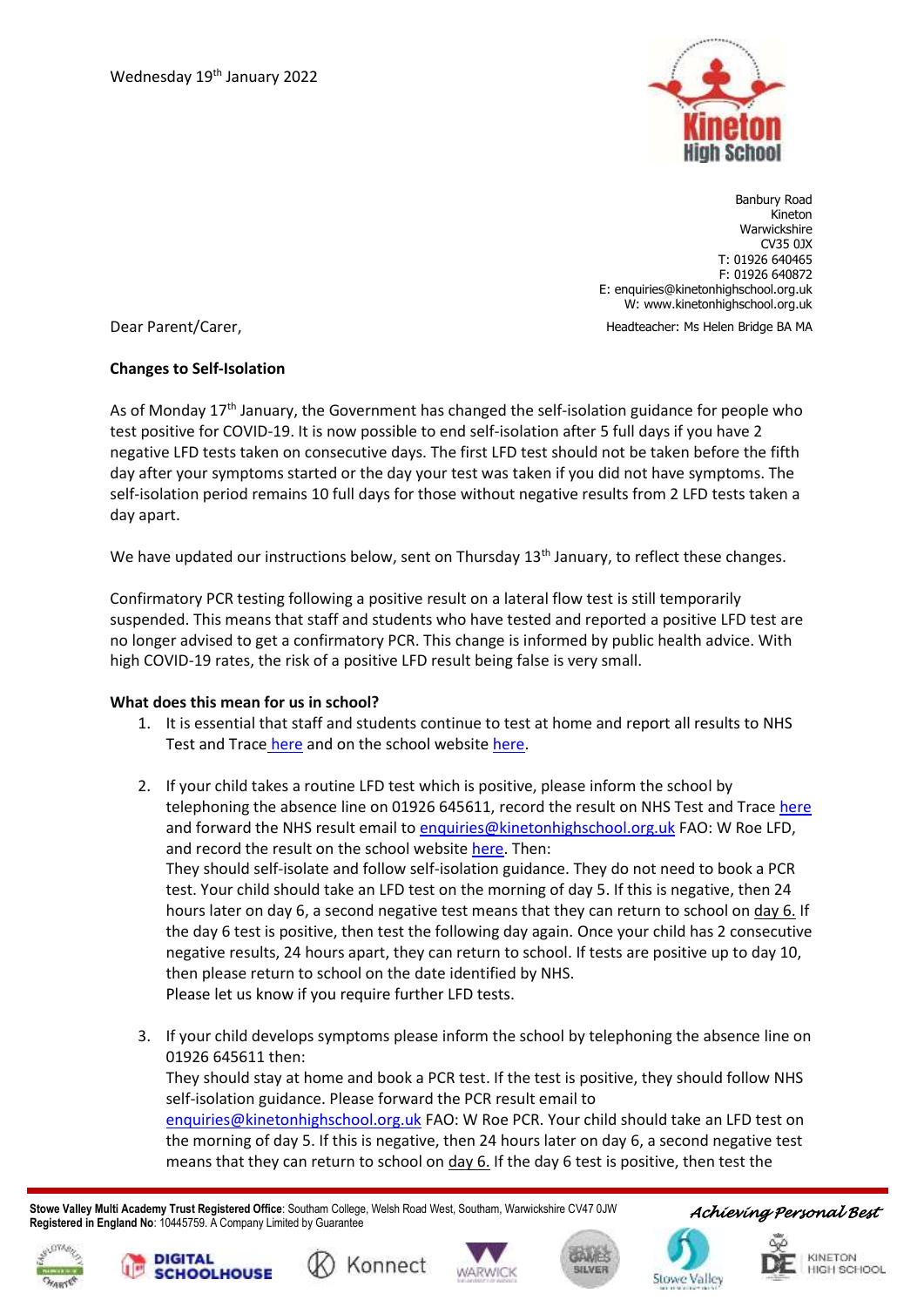

Banbury Road Kineton Warwickshire CV35 0JX T: 01926 640465 F: 01926 640872 E: enquiries@kinetonhighschool.org.uk W: [www.kinetonhighschool.org.uk](http://www.kinetonhighschool.org.uk/)

Headteacher: Ms Helen Bridge BA MA

Dear Parent/Carer,

## **Changes to Self-Isolation**

As of Monday 17<sup>th</sup> January, the Government has changed the self-isolation guidance for people who test positive for COVID-19. It is now possible to end self-isolation after 5 full days if you have 2 negative LFD tests taken on consecutive days. The first LFD test should not be taken before the fifth day after your symptoms started or the day your test was taken if you did not have symptoms. The self-isolation period remains 10 full days for those without negative results from 2 LFD tests taken a day apart.

We have updated our instructions below, sent on Thursday  $13<sup>th</sup>$  January, to reflect these changes.

Confirmatory PCR testing following a positive result on a lateral flow test is still temporarily suspended. This means that staff and students who have tested and reported a positive LFD test are no longer advised to get a confirmatory PCR. This change is informed by public health advice. With high COVID-19 rates, the risk of a positive LFD result being false is very small.

## **What does this mean for us in school?**

- 1. It is essential that staff and students continue to test at home an[d report all results to NHS](https://www.gov.uk/report-covid19-result?utm_source=11%20January%202022%20C19&utm_medium=Daily%20Email%20C19&utm_campaign=DfE%20C19)  [Test and Trace](https://www.gov.uk/report-covid19-result?utm_source=11%20January%202022%20C19&utm_medium=Daily%20Email%20C19&utm_campaign=DfE%20C19) [here](https://www.gov.uk/report-covid19-result) and on the school websit[e here.](https://forms.office.com/Pages/ResponsePage.aspx?id=qtBL2oLbPEC95m4Y7XwBdkFZUT7B0_lOlBsO9K4vLqdUQU45WktFQ0RGSjdZTVlQRTdVUlZaMkE0SC4u)
- 2. If your child takes a routine LFD test which is positive, please inform the school by telephoning the absence line on 01926 645611, record the result on NHS Test and Trac[e here](https://www.gov.uk/report-covid19-result) and forward the NHS result email t[o enquiries@kinetonhighschool.org.uk](mailto:enquiries@kinetonhighschool.org.uk) FAO: W Roe LFD, and record the result on the school website [here.](https://forms.office.com/Pages/ResponsePage.aspx?id=qtBL2oLbPEC95m4Y7XwBdkFZUT7B0_lOlBsO9K4vLqdUQU45WktFQ0RGSjdZTVlQRTdVUlZaMkE0SC4u) Then: They should self-isolate and follow self-isolation guidance. They do not need to book a PCR test. Your child should take an LFD test on the morning of day 5. If this is negative, then 24 hours later on day 6, a second negative test means that they can return to school on day 6. If the day 6 test is positive, then test the following day again. Once your child has 2 consecutive negative results, 24 hours apart, they can return to school. If tests are positive up to day 10, then please return to school on the date identified by NHS. Please let us know if you require further LFD tests.
- 3. If your child develops symptoms please inform the school by telephoning the absence line on 01926 645611 then:

They should stay at home and book a PCR test. If the test is positive, they should follow NHS self-isolation guidance. Please forward the PCR result email to

[enquiries@kinetonhighschool.org.uk](mailto:enquiries@kinetonhighschool.org.uk) FAO: W Roe PCR. Your child should take an LFD test on the morning of day 5. If this is negative, then 24 hours later on day 6, a second negative test means that they can return to school on  $\frac{day}{6}$ . If the day 6 test is positive, then test the

 **Stowe Valley Multi Academy Trust Registered Office**: Southam College, Welsh Road West, Southam, Warwickshire CV47 0JW **Registered in England No**: 10445759. A Company Limited by Guarantee











**Stowe Valle**